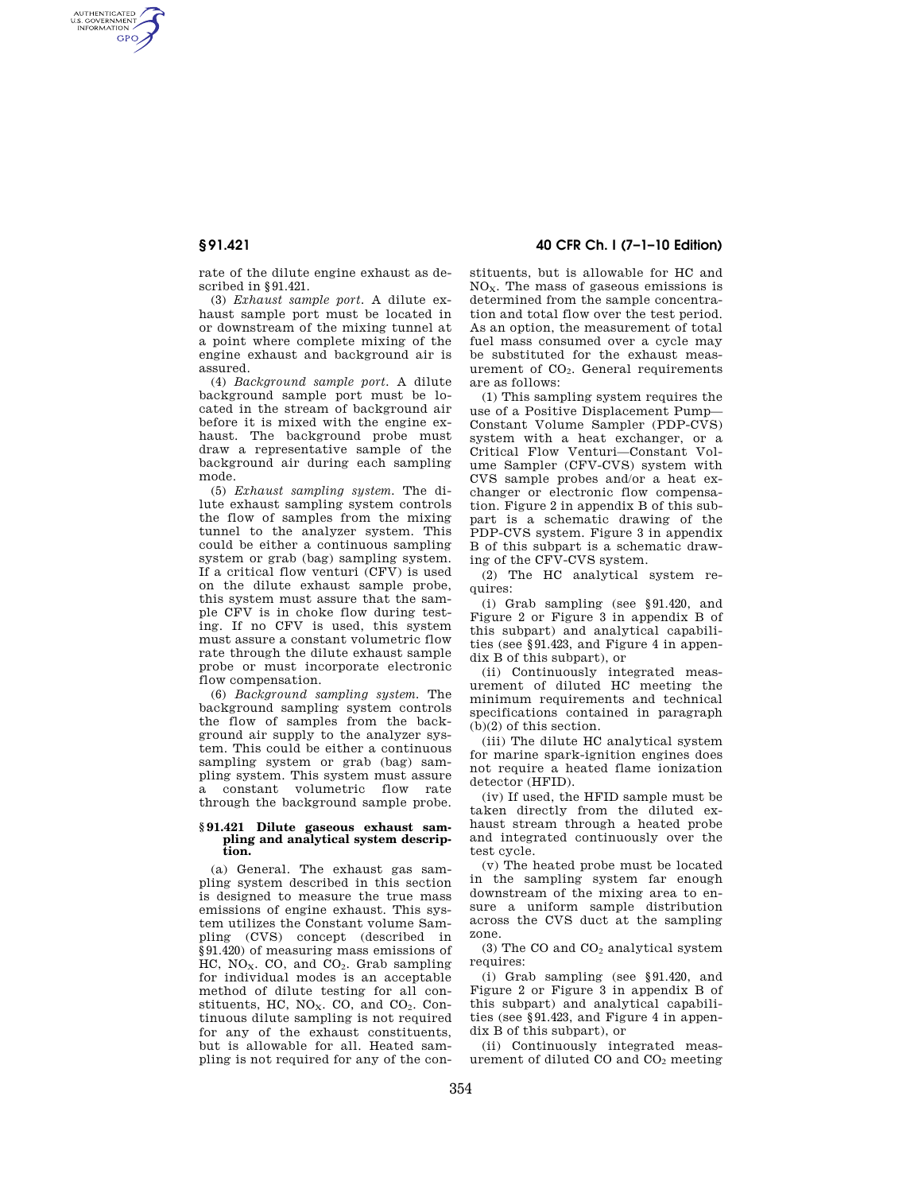AUTHENTICATED<br>U.S. GOVERNMENT<br>INFORMATION **GPO** 

> rate of the dilute engine exhaust as described in §91.421.

> (3) *Exhaust sample port.* A dilute exhaust sample port must be located in or downstream of the mixing tunnel at a point where complete mixing of the engine exhaust and background air is assured.

> (4) *Background sample port.* A dilute background sample port must be located in the stream of background air before it is mixed with the engine exhaust. The background probe must draw a representative sample of the background air during each sampling mode.

> (5) *Exhaust sampling system.* The dilute exhaust sampling system controls the flow of samples from the mixing tunnel to the analyzer system. This could be either a continuous sampling system or grab (bag) sampling system. If a critical flow venturi (CFV) is used on the dilute exhaust sample probe, this system must assure that the sample CFV is in choke flow during testing. If no CFV is used, this system must assure a constant volumetric flow rate through the dilute exhaust sample probe or must incorporate electronic flow compensation.

> (6) *Background sampling system.* The background sampling system controls the flow of samples from the background air supply to the analyzer system. This could be either a continuous sampling system or grab (bag) sampling system. This system must assure a constant volumetric flow rate through the background sample probe.

## **§ 91.421 Dilute gaseous exhaust sampling and analytical system description.**

(a) General. The exhaust gas sampling system described in this section is designed to measure the true mass emissions of engine exhaust. This system utilizes the Constant volume Sampling (CVS) concept (described in §91.420) of measuring mass emissions of HC,  $NO<sub>X</sub>$ . CO, and CO<sub>2</sub>. Grab sampling for individual modes is an acceptable method of dilute testing for all constituents, HC,  $NO<sub>x</sub>$ , CO, and  $CO<sub>2</sub>$ , Continuous dilute sampling is not required for any of the exhaust constituents, but is allowable for all. Heated sampling is not required for any of the con-

## **§ 91.421 40 CFR Ch. I (7–1–10 Edition)**

stituents, but is allowable for HC and  $NO<sub>x</sub>$ . The mass of gaseous emissions is determined from the sample concentration and total flow over the test period. As an option, the measurement of total fuel mass consumed over a cycle may be substituted for the exhaust measurement of  $CO<sub>2</sub>$ . General requirements are as follows:

(1) This sampling system requires the use of a Positive Displacement Pump— Constant Volume Sampler (PDP-CVS) system with a heat exchanger, or a Critical Flow Venturi—Constant Volume Sampler (CFV-CVS) system with CVS sample probes and/or a heat exchanger or electronic flow compensation. Figure 2 in appendix B of this subpart is a schematic drawing of the PDP-CVS system. Figure 3 in appendix B of this subpart is a schematic drawing of the CFV-CVS system.

(2) The HC analytical system requires:

(i) Grab sampling (see §91.420, and Figure 2 or Figure 3 in appendix B of this subpart) and analytical capabilities (see §91.423, and Figure 4 in appendix B of this subpart), or

(ii) Continuously integrated measurement of diluted HC meeting the minimum requirements and technical specifications contained in paragraph (b)(2) of this section.

(iii) The dilute HC analytical system for marine spark-ignition engines does not require a heated flame ionization detector (HFID).

(iv) If used, the HFID sample must be taken directly from the diluted exhaust stream through a heated probe and integrated continuously over the test cycle.

(v) The heated probe must be located in the sampling system far enough downstream of the mixing area to ensure a uniform sample distribution across the CVS duct at the sampling zone.

(3) The CO and  $CO<sub>2</sub>$  analytical system requires:

(i) Grab sampling (see §91.420, and Figure 2 or Figure 3 in appendix B of this subpart) and analytical capabilities (see §91.423, and Figure 4 in appendix B of this subpart), or

(ii) Continuously integrated measurement of diluted  $CO$  and  $CO<sub>2</sub>$  meeting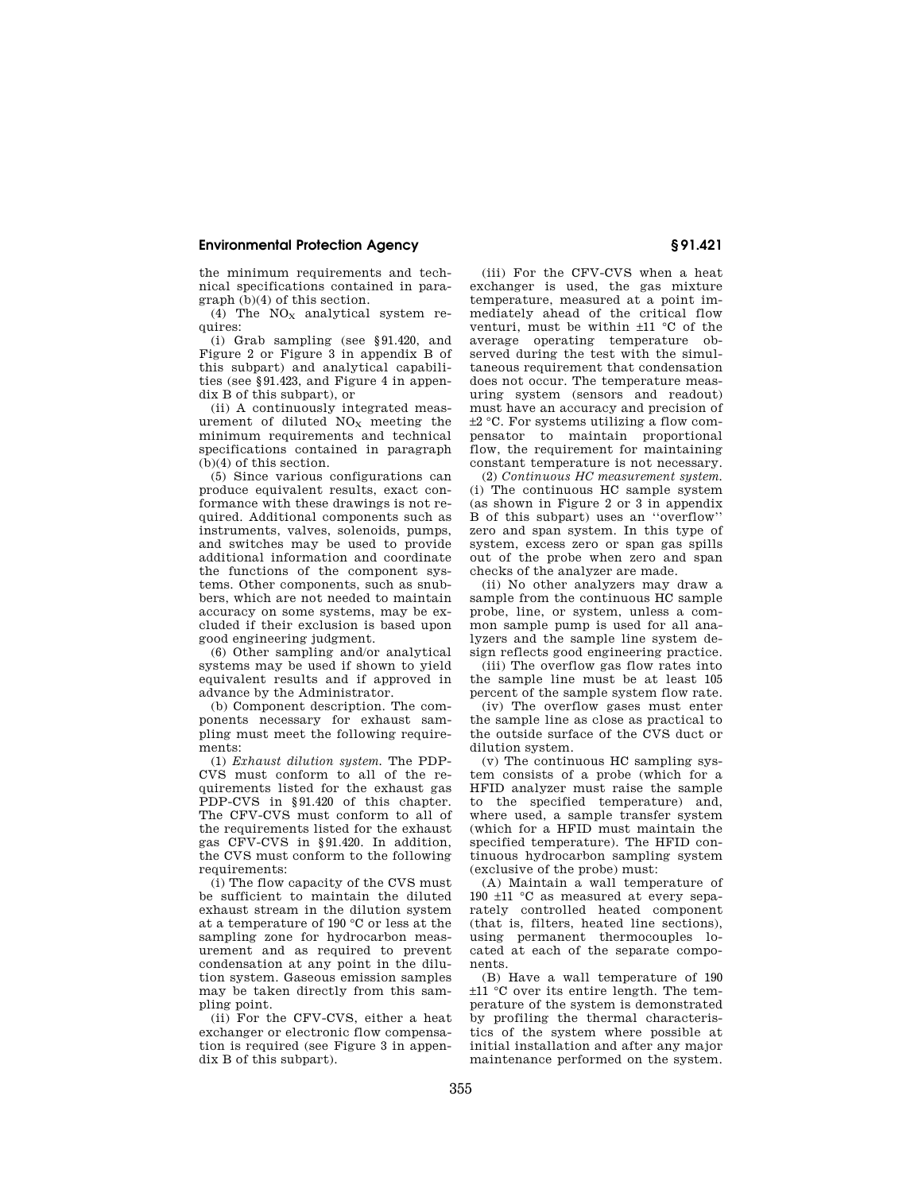## **Environmental Protection Agency § 91.421**

the minimum requirements and technical specifications contained in paragraph (b)(4) of this section.

(4) The  $NO<sub>x</sub>$  analytical system requires:

(i) Grab sampling (see §91.420, and Figure 2 or Figure 3 in appendix B of this subpart) and analytical capabilities (see §91.423, and Figure 4 in appendix B of this subpart), or

(ii) A continuously integrated measurement of diluted  $NO<sub>x</sub>$  meeting the minimum requirements and technical specifications contained in paragraph  $(b)(4)$  of this section.

(5) Since various configurations can produce equivalent results, exact conformance with these drawings is not required. Additional components such as instruments, valves, solenoids, pumps, and switches may be used to provide additional information and coordinate the functions of the component systems. Other components, such as snubbers, which are not needed to maintain accuracy on some systems, may be excluded if their exclusion is based upon good engineering judgment.

(6) Other sampling and/or analytical systems may be used if shown to yield equivalent results and if approved in advance by the Administrator.

(b) Component description. The components necessary for exhaust sampling must meet the following requirements:

(1) *Exhaust dilution system.* The PDP-CVS must conform to all of the requirements listed for the exhaust gas PDP-CVS in §91.420 of this chapter. The CFV-CVS must conform to all of the requirements listed for the exhaust gas CFV-CVS in §91.420. In addition, the CVS must conform to the following requirements:

(i) The flow capacity of the CVS must be sufficient to maintain the diluted exhaust stream in the dilution system at a temperature of 190 °C or less at the sampling zone for hydrocarbon measurement and as required to prevent condensation at any point in the dilution system. Gaseous emission samples may be taken directly from this sampling point.

(ii) For the CFV-CVS, either a heat exchanger or electronic flow compensation is required (see Figure 3 in appendix B of this subpart).

(iii) For the CFV-CVS when a heat exchanger is used, the gas mixture temperature, measured at a point immediately ahead of the critical flow venturi, must be within ±11 °C of the average operating temperature observed during the test with the simultaneous requirement that condensation does not occur. The temperature measuring system (sensors and readout) must have an accuracy and precision of ±2 °C. For systems utilizing a flow compensator to maintain proportional flow, the requirement for maintaining constant temperature is not necessary.

(2) *Continuous HC measurement system.*  (i) The continuous HC sample system (as shown in Figure 2 or 3 in appendix B of this subpart) uses an ''overflow'' zero and span system. In this type of system, excess zero or span gas spills out of the probe when zero and span checks of the analyzer are made.

(ii) No other analyzers may draw a sample from the continuous HC sample probe, line, or system, unless a common sample pump is used for all analyzers and the sample line system design reflects good engineering practice.

(iii) The overflow gas flow rates into the sample line must be at least 105 percent of the sample system flow rate.

(iv) The overflow gases must enter the sample line as close as practical to the outside surface of the CVS duct or dilution system.

(v) The continuous HC sampling system consists of a probe (which for a HFID analyzer must raise the sample to the specified temperature) and, where used, a sample transfer system (which for a HFID must maintain the specified temperature). The HFID continuous hydrocarbon sampling system (exclusive of the probe) must:

(A) Maintain a wall temperature of 190 ±11 °C as measured at every separately controlled heated component (that is, filters, heated line sections), using permanent thermocouples located at each of the separate components.

(B) Have a wall temperature of 190 ±11 °C over its entire length. The temperature of the system is demonstrated by profiling the thermal characteristics of the system where possible at initial installation and after any major maintenance performed on the system.